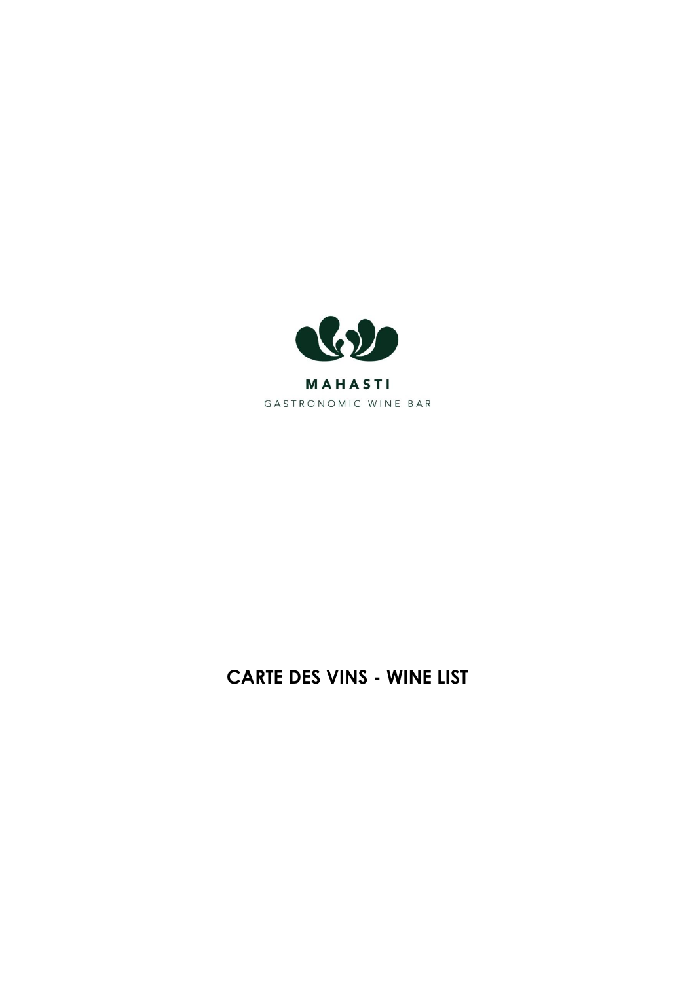

# **CARTE DES VINS - WINE LIST**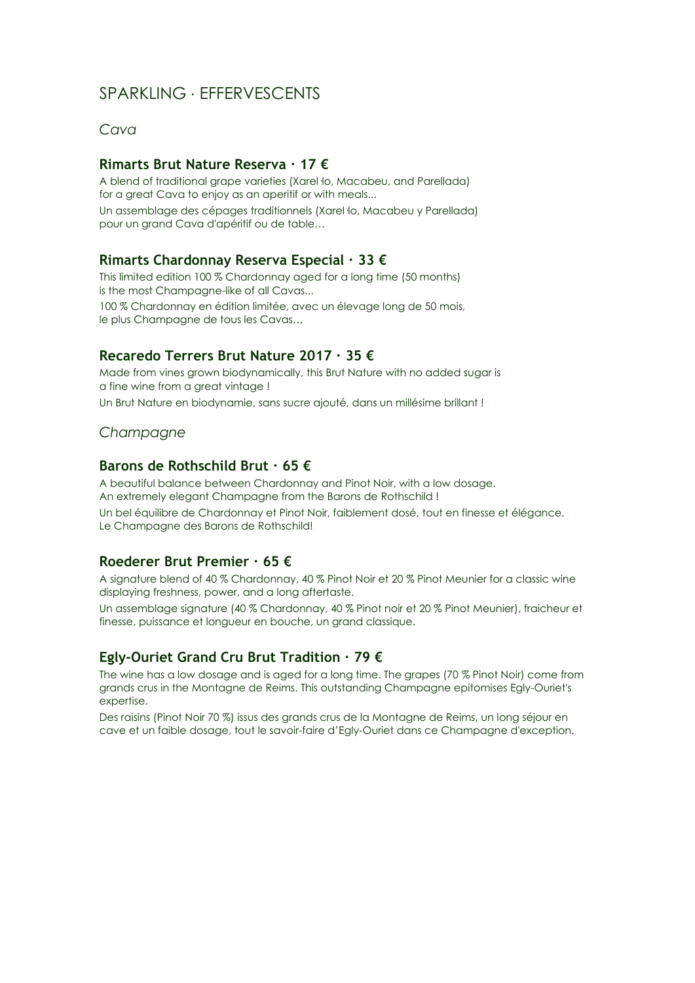## SPARKLING ∙ EFFERVESCENTS

*Cava*

#### **Rimarts Brut Nature Reserva ∙ 17 €**

A blend of traditional grape varieties (Xarel·lo, Macabeu, and Parellada) for a great Cava to enjoy as an aperitif or with meals... Un assemblage des cépages traditionnels (Xarel·lo, Macabeu y Parellada) pour un grand Cava d'apéritif ou de table…

## **Rimarts Chardonnay Reserva Especial ∙ 33 €**

This limited edition 100 % Chardonnay aged for a long time (50 months) is the most Champagne-like of all Cavas... 100 % Chardonnay en édition limitée, avec un élevage long de 50 mois, le plus Champagne de tous les Cavas…

#### **Recaredo Terrers Brut Nature 2017 ∙ 35 €**

Made from vines grown biodynamically, this Brut Nature with no added sugar is a fine wine from a great vintage ! Un Brut Nature en biodynamie, sans sucre ajouté, dans un millésime brillant !

#### *Champagne*

#### **Barons de Rothschild Brut ∙ 65 €**

A beautiful balance between Chardonnay and Pinot Noir, with a low dosage. An extremely elegant Champagne from the Barons de Rothschild ! Un bel équilibre de Chardonnay et Pinot Noir, faiblement dosé, tout en finesse et élégance. Le Champagne des Barons de Rothschild!

#### **Roederer Brut Premier ∙ 65 €**

A signature blend of 40 % Chardonnay, 40 % Pinot Noir et 20 % Pinot Meunier for a classic wine displaying freshness, power, and a long aftertaste.

Un assemblage signature (40 % Chardonnay, 40 % Pinot noir et 20 % Pinot Meunier), fraicheur et finesse, puissance et longueur en bouche, un grand classique.

#### **Egly-Ouriet Grand Cru Brut Tradition ∙ 79 €**

The wine has a low dosage and is aged for a long time. The grapes (70 % Pinot Noir) come from grands crus in the Montagne de Reims. This outstanding Champagne epitomises Egly-Ouriet's expertise.

Des raisins (Pinot Noir 70 %) issus des grands crus de la Montagne de Reims, un long séjour en cave et un faible dosage, tout le savoir-faire d'Egly-Ouriet dans ce Champagne d'exception.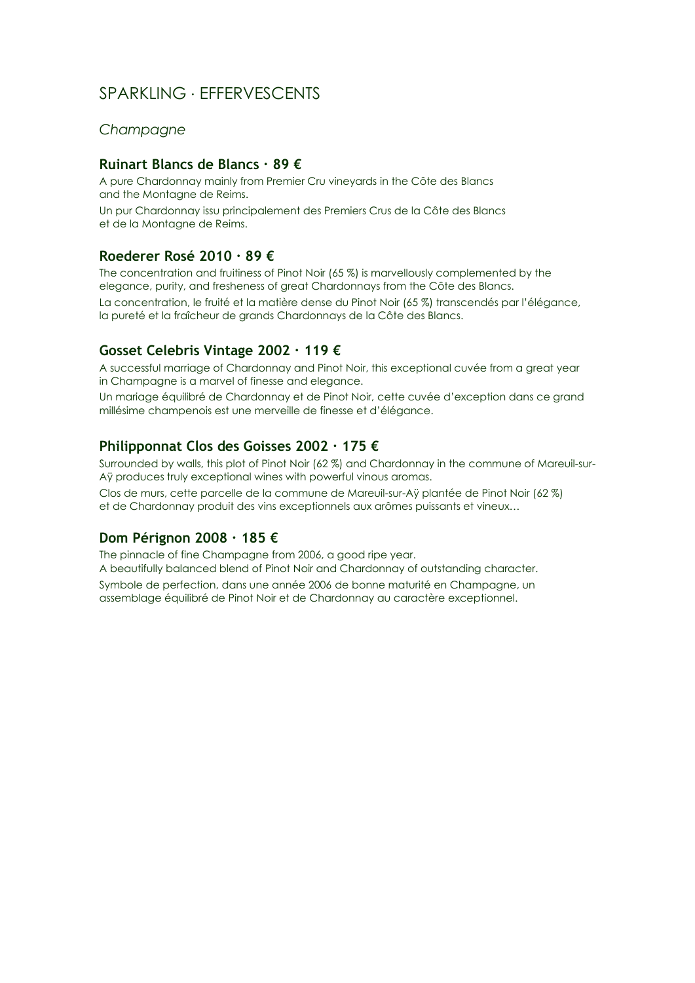## SPARKLING ∙ EFFERVESCENTS

#### *Champagne*

#### **Ruinart Blancs de Blancs ∙ 89 €**

A pure Chardonnay mainly from Premier Cru vineyards in the Côte des Blancs and the Montagne de Reims. Un pur Chardonnay issu principalement des Premiers Crus de la Côte des Blancs et de la Montagne de Reims.

## **Roederer Rosé 2010 ∙ 89 €**

The concentration and fruitiness of Pinot Noir (65 %) is marvellously complemented by the elegance, purity, and fresheness of great Chardonnays from the Côte des Blancs. La concentration, le fruité et la matière dense du Pinot Noir (65 %) transcendés par l'élégance, la pureté et la fraîcheur de grands Chardonnays de la Côte des Blancs.

## **Gosset Celebris Vintage 2002 ∙ 119 €**

A successful marriage of Chardonnay and Pinot Noir, this exceptional cuvée from a great year in Champagne is a marvel of finesse and elegance.

Un mariage équilibré de Chardonnay et de Pinot Noir, cette cuvée d'exception dans ce grand millésime champenois est une merveille de finesse et d'élégance.

#### **Philipponnat Clos des Goisses 2002 ∙ 175 €**

Surrounded by walls, this plot of Pinot Noir (62 %) and Chardonnay in the commune of Mareuil-sur-Aÿ produces truly exceptional wines with powerful vinous aromas.

Clos de murs, cette parcelle de la commune de Mareuil-sur-Aÿ plantée de Pinot Noir (62 %) et de Chardonnay produit des vins exceptionnels aux arômes puissants et vineux…

#### **Dom Pérignon 2008 ∙ 185 €**

The pinnacle of fine Champagne from 2006, a good ripe year.

A beautifully balanced blend of Pinot Noir and Chardonnay of outstanding character. Symbole de perfection, dans une année 2006 de bonne maturité en Champagne, un

assemblage équilibré de Pinot Noir et de Chardonnay au caractère exceptionnel.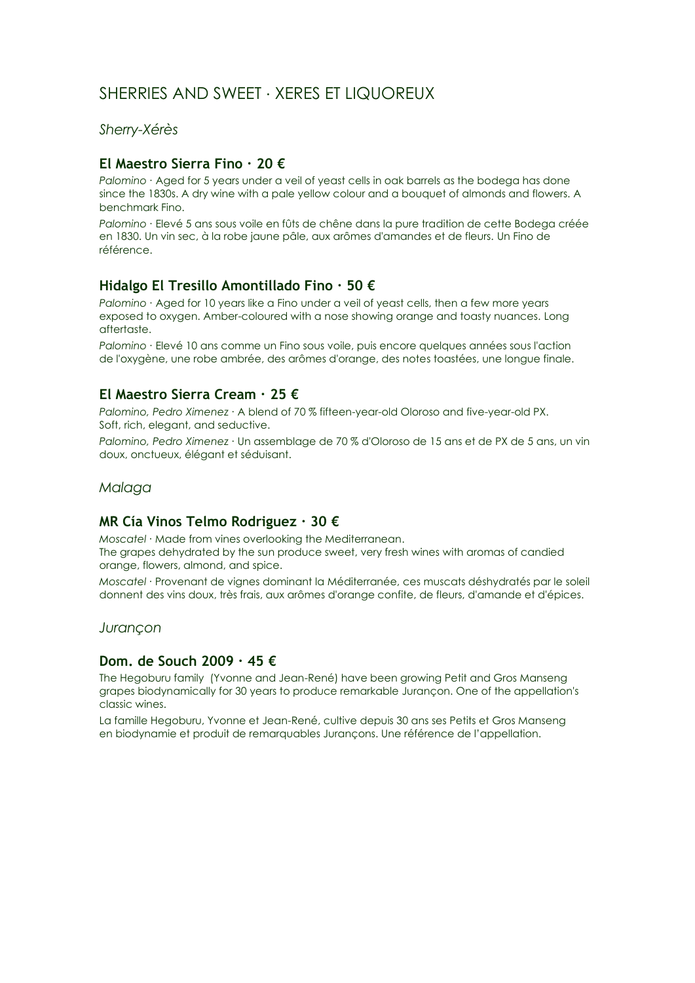## SHERRIES AND SWEET ∙ XERES ET LIQUOREUX

*Sherry-Xérès*

## **El Maestro Sierra Fino ∙ 20 €**

*Palomino ∙* Aged for 5 years under a veil of yeast cells in oak barrels as the bodega has done since the 1830s. A dry wine with a pale yellow colour and a bouquet of almonds and flowers. A benchmark Fino.

*Palomino ∙* Elevé 5 ans sous voile en fûts de chêne dans la pure tradition de cette Bodega créée en 1830. Un vin sec, à la robe jaune pâle, aux arômes d'amandes et de fleurs. Un Fino de référence.

## **Hidalgo El Tresillo Amontillado Fino ∙ 50 €**

*Palomino ∙* Aged for 10 years like a Fino under a veil of yeast cells, then a few more years exposed to oxygen. Amber-coloured with a nose showing orange and toasty nuances. Long aftertaste.

*Palomino ∙* Elevé 10 ans comme un Fino sous voile, puis encore quelques années sous l'action de l'oxygène, une robe ambrée, des arômes d'orange, des notes toastées, une longue finale.

## **El Maestro Sierra Cream ∙ 25 €**

*Palomino, Pedro Ximenez ∙* A blend of 70 % fifteen-year-old Oloroso and five-year-old PX. Soft, rich, elegant, and seductive.

*Palomino, Pedro Ximenez ∙* Un assemblage de 70 % d'Oloroso de 15 ans et de PX de 5 ans, un vin doux, onctueux, élégant et séduisant.

#### *Malaga*

## **MR Cía Vinos Telmo Rodriguez ∙ 30 €**

*Moscatel ∙* Made from vines overlooking the Mediterranean.

The grapes dehydrated by the sun produce sweet, very fresh wines with aromas of candied orange, flowers, almond, and spice.

*Moscatel ∙* Provenant de vignes dominant la Méditerranée, ces muscats déshydratés par le soleil donnent des vins doux, très frais, aux arômes d'orange confite, de fleurs, d'amande et d'épices.

*Jurançon*

#### **Dom. de Souch 2009 ∙ 45 €**

The Hegoburu family (Yvonne and Jean-René) have been growing Petit and Gros Manseng grapes biodynamically for 30 years to produce remarkable Jurançon. One of the appellation's classic wines.

La famille Hegoburu, Yvonne et Jean-René, cultive depuis 30 ans ses Petits et Gros Manseng en biodynamie et produit de remarquables Jurançons. Une référence de l'appellation.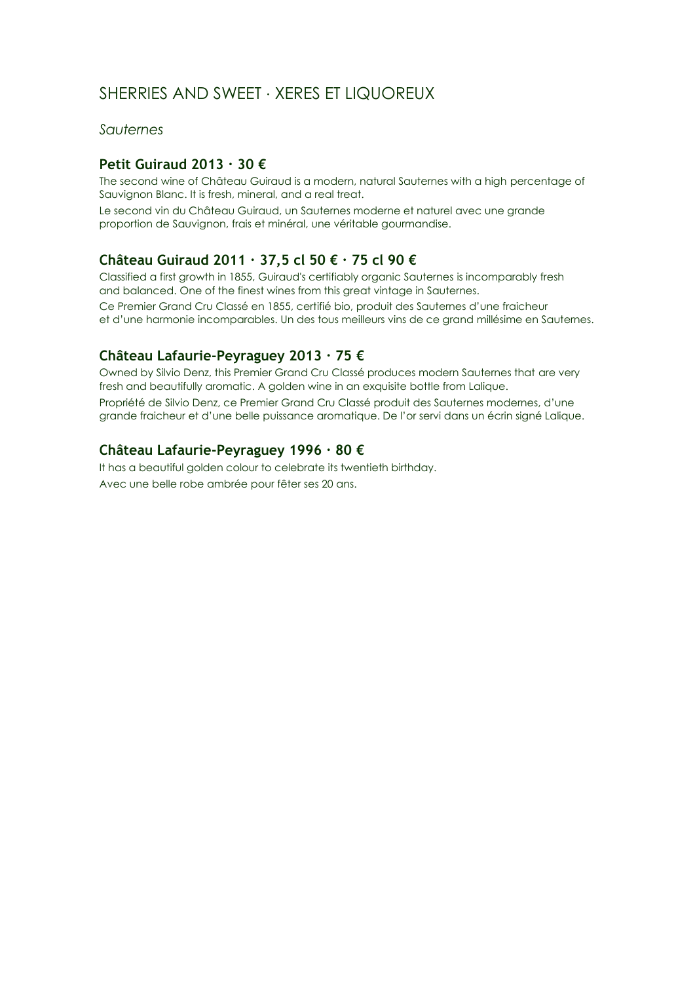## SHERRIES AND SWEET ∙ XERES ET LIQUOREUX

*Sauternes*

## **Petit Guiraud 2013 ∙ 30 €**

The second wine of Château Guiraud is a modern, natural Sauternes with a high percentage of Sauvignon Blanc. It is fresh, mineral, and a real treat.

Le second vin du Château Guiraud, un Sauternes moderne et naturel avec une grande proportion de Sauvignon, frais et minéral, une véritable gourmandise.

## **Château Guiraud 2011 ∙ 37,5 cl 50 € ∙ 75 cl 90 €**

Classified a first growth in 1855, Guiraud's certifiably organic Sauternes is incomparably fresh and balanced. One of the finest wines from this great vintage in Sauternes.

Ce Premier Grand Cru Classé en 1855, certifié bio, produit des Sauternes d'une fraicheur et d'une harmonie incomparables. Un des tous meilleurs vins de ce grand millésime en Sauternes.

## **Château Lafaurie-Peyraguey 2013 ∙ 75 €**

Owned by Silvio Denz, this Premier Grand Cru Classé produces modern Sauternes that are very fresh and beautifully aromatic. A golden wine in an exquisite bottle from Lalique. Propriété de Silvio Denz, ce Premier Grand Cru Classé produit des Sauternes modernes, d'une grande fraicheur et d'une belle puissance aromatique. De l'or servi dans un écrin signé Lalique.

## **Château Lafaurie-Peyraguey 1996 ∙ 80 €**

It has a beautiful golden colour to celebrate its twentieth birthday. Avec une belle robe ambrée pour fêter ses 20 ans.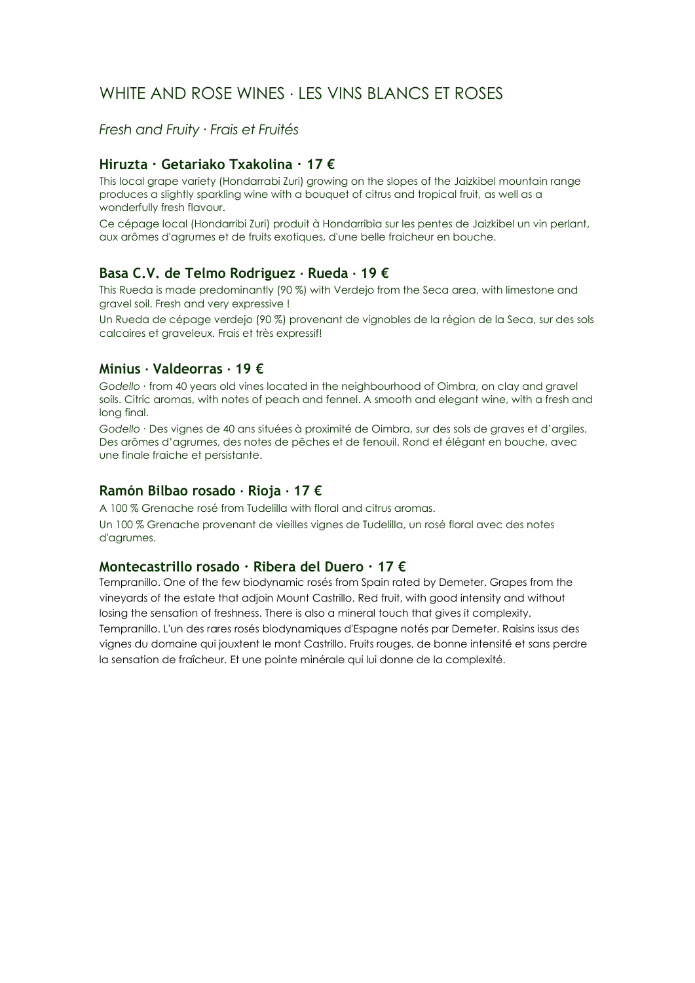## WHITE AND ROSE WINES ∙ LES VINS BLANCS ET ROSES

*Fresh and Fruity ∙ Frais et Fruités*

## **Hiruzta ∙ Getariako Txakolina ∙ 17 €**

This local grape variety (Hondarrabi Zuri) growing on the slopes of the Jaizkibel mountain range produces a slightly sparkling wine with a bouquet of citrus and tropical fruit, as well as a wonderfully fresh flavour.

Ce cépage local (Hondarribi Zuri) produit à Hondarribia sur les pentes de Jaizkibel un vin perlant, aux arômes d'agrumes et de fruits exotiques, d'une belle fraicheur en bouche.

## **Basa C.V. de Telmo Rodriguez ∙ Rueda ∙ 19 €**

This Rueda is made predominantly (90 %) with Verdejo from the Seca area, with limestone and gravel soil. Fresh and very expressive !

Un Rueda de cépage verdejo (90 %) provenant de vignobles de la région de la Seca, sur des sols calcaires et graveleux. Frais et très expressif!

#### **Minius ∙ Valdeorras ∙ 19 €**

*Godello ∙* from 40 years old vines located in the neighbourhood of Oimbra, on clay and gravel soils. Citric aromas, with notes of peach and fennel. A smooth and elegant wine, with a fresh and long final.

*Godello ∙* Des vignes de 40 ans situées à proximité de Oimbra, sur des sols de graves et d'argiles. Des arômes d'agrumes, des notes de pêches et de fenouil. Rond et élégant en bouche, avec une finale fraiche et persistante.

#### **Ramón Bilbao rosado ∙ Rioja ∙ 17 €**

A 100 % Grenache rosé from Tudelilla with floral and citrus aromas. Un 100 % Grenache provenant de vieilles vignes de Tudelilla, un rosé floral avec des notes d'agrumes.

#### **Montecastrillo rosado ∙ Ribera del Duero ∙ 17 €**

Tempranillo. One of the few biodynamic rosés from Spain rated by Demeter. Grapes from the vineyards of the estate that adjoin Mount Castrillo. Red fruit, with good intensity and without losing the sensation of freshness. There is also a mineral touch that gives it complexity. Tempranillo. L'un des rares rosés biodynamiques d'Espagne notés par Demeter. Raisins issus des vignes du domaine qui jouxtent le mont Castrillo. Fruits rouges, de bonne intensité et sans perdre la sensation de fraîcheur. Et une pointe minérale qui lui donne de la complexité.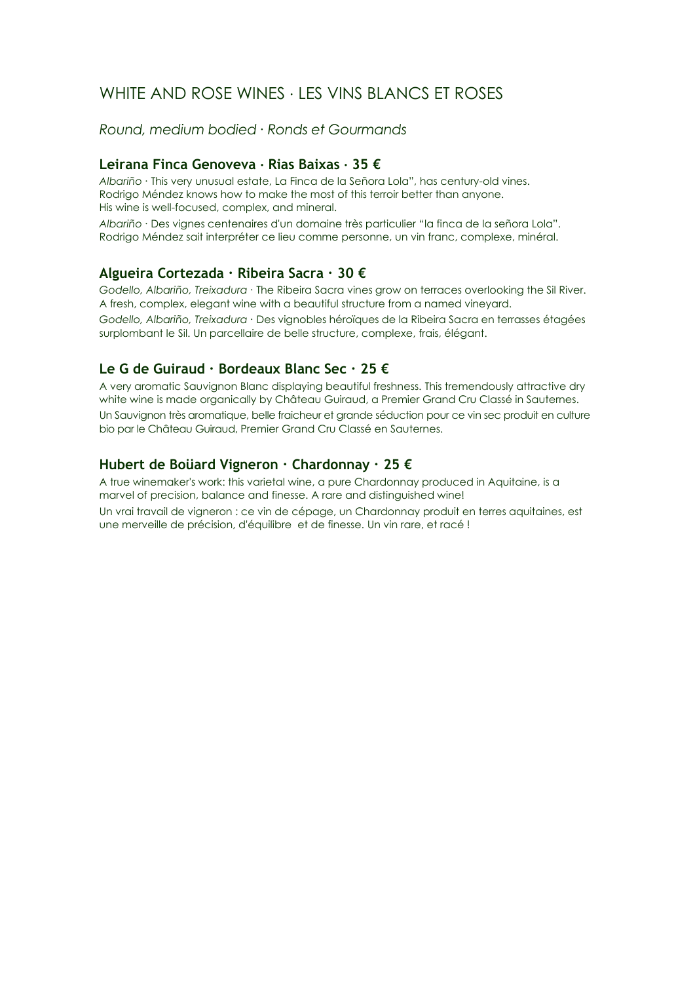## WHITE AND ROSE WINES ∙ LES VINS BLANCS ET ROSES

*Round, medium bodied ∙ Ronds et Gourmands*

## **Leirana Finca Genoveva ∙ Rias Baixas ∙ 35 €**

*Albariño ∙* This very unusual estate, La Finca de la Señora Lola", has century-old vines. Rodrigo Méndez knows how to make the most of this terroir better than anyone. His wine is well-focused, complex, and mineral.

*Albariño ∙* Des vignes centenaires d'un domaine très particulier "la finca de la señora Lola". Rodrigo Méndez sait interpréter ce lieu comme personne, un vin franc, complexe, minéral.

## **Algueira Cortezada ∙ Ribeira Sacra ∙ 30 €**

*Godello, Albariño, Treixadura ∙* The Ribeira Sacra vines grow on terraces overlooking the Sil River. A fresh, complex, elegant wine with a beautiful structure from a named vineyard.

*Godello, Albariño, Treixadura ∙* Des vignobles héroïques de la Ribeira Sacra en terrasses étagées surplombant le Sil. Un parcellaire de belle structure, complexe, frais, élégant.

## **Le G de Guiraud ∙ Bordeaux Blanc Sec ∙ 25 €**

A very aromatic Sauvignon Blanc displaying beautiful freshness. This tremendously attractive dry white wine is made organically by Château Guiraud, a Premier Grand Cru Classé in Sauternes. Un Sauvignon très aromatique, belle fraicheur et grande séduction pour ce vin sec produit en culture bio par le Château Guiraud, Premier Grand Cru Classé en Sauternes.

## **Hubert de Boüard Vigneron ∙ Chardonnay ∙ 25 €**

A true winemaker's work: this varietal wine, a pure Chardonnay produced in Aquitaine, is a marvel of precision, balance and finesse. A rare and distinguished wine!

Un vrai travail de vigneron : ce vin de cépage, un Chardonnay produit en terres aquitaines, est une merveille de précision, d'équilibre et de finesse. Un vin rare, et racé !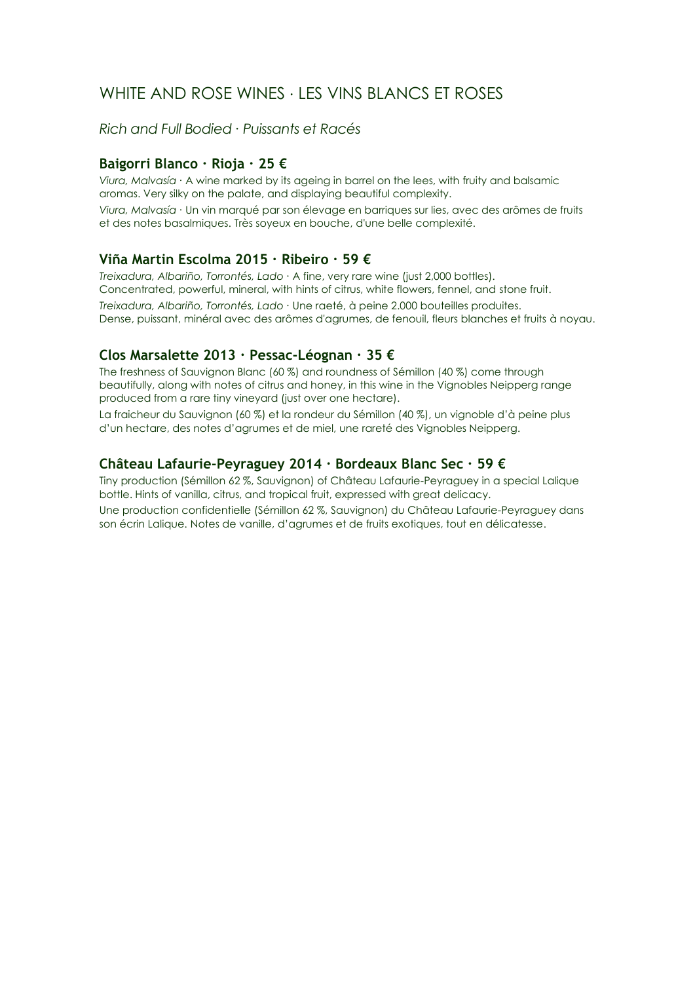## WHITE AND ROSE WINES ∙ LES VINS BLANCS ET ROSES

*Rich and Full Bodied ∙ Puissants et Racés*

## **Baigorri Blanco ∙ Rioja ∙ 25 €**

*Viura, Malvasía ∙* A wine marked by its ageing in barrel on the lees, with fruity and balsamic aromas. Very silky on the palate, and displaying beautiful complexity. *Viura, Malvasía ∙* Un vin marqué par son élevage en barriques sur lies, avec des arômes de fruits et des notes basalmiques. Très soyeux en bouche, d'une belle complexité.

## **Viña Martin Escolma 2015 ∙ Ribeiro ∙ 59 €**

*Treixadura, Albariño, Torrontés, Lado ∙* A fine, very rare wine (just 2,000 bottles). Concentrated, powerful, mineral, with hints of citrus, white flowers, fennel, and stone fruit.

*Treixadura, Albariño, Torrontés, Lado ∙* Une raeté, à peine 2.000 bouteilles produites. Dense, puissant, minéral avec des arômes d'agrumes, de fenouil, fleurs blanches et fruits à noyau.

## **Clos Marsalette 2013 ∙ Pessac-Léognan ∙ 35 €**

The freshness of Sauvignon Blanc (60 %) and roundness of Sémillon (40 %) come through beautifully, along with notes of citrus and honey, in this wine in the Vignobles Neipperg range produced from a rare tiny vineyard (just over one hectare).

La fraicheur du Sauvignon (60 %) et la rondeur du Sémillon (40 %), un vignoble d'à peine plus d'un hectare, des notes d'agrumes et de miel, une rareté des Vignobles Neipperg.

## **Château Lafaurie-Peyraguey 2014 ∙ Bordeaux Blanc Sec ∙ 59 €**

Tiny production (Sémillon 62 %, Sauvignon) of Château Lafaurie-Peyraguey in a special Lalique bottle. Hints of vanilla, citrus, and tropical fruit, expressed with great delicacy.

Une production confidentielle (Sémillon 62 %, Sauvignon) du Château Lafaurie-Peyraguey dans son écrin Lalique. Notes de vanille, d'agrumes et de fruits exotiques, tout en délicatesse.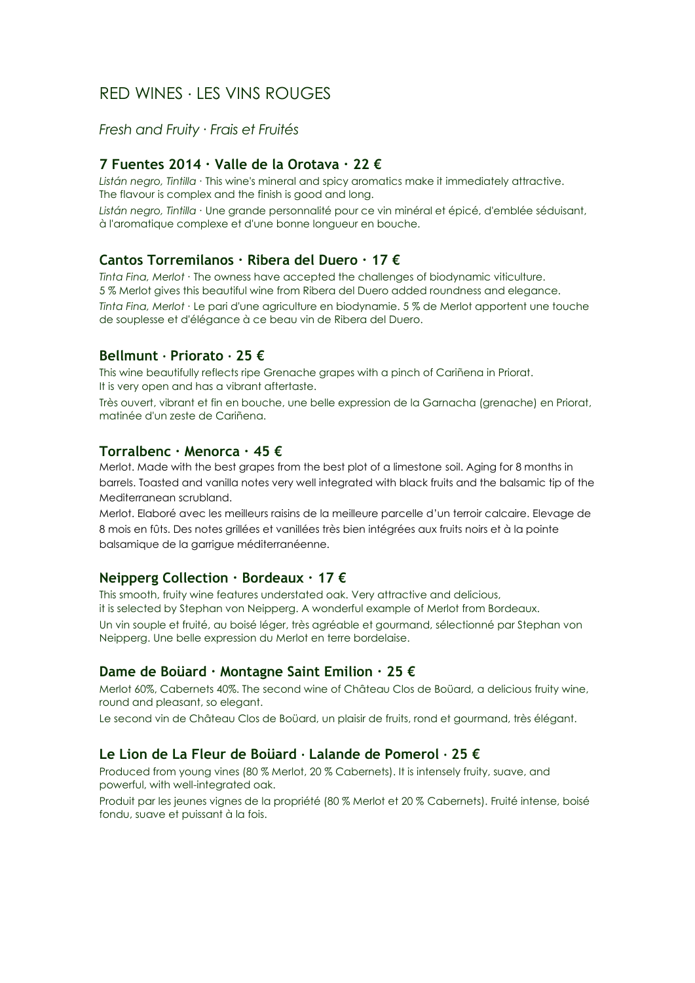#### *Fresh and Fruity ∙ Frais et Fruités*

## **7 Fuentes 2014 ∙ Valle de la Orotava ∙ 22 €**

*Listán negro, Tintilla ∙* This wine's mineral and spicy aromatics make it immediately attractive. The flavour is complex and the finish is good and long.

*Listán negro, Tintilla ∙* Une grande personnalité pour ce vin minéral et épicé, d'emblée séduisant, à l'aromatique complexe et d'une bonne longueur en bouche.

## **Cantos Torremilanos ∙ Ribera del Duero ∙ 17 €**

*Tinta Fina, Merlot ∙* The owness have accepted the challenges of biodynamic viticulture. 5 % Merlot gives this beautiful wine from Ribera del Duero added roundness and elegance.

*Tinta Fina, Merlot ∙* Le pari d'une agriculture en biodynamie. 5 % de Merlot apportent une touche de souplesse et d'élégance à ce beau vin de Ribera del Duero.

## **Bellmunt ∙ Priorato ∙ 25 €**

This wine beautifully reflects ripe Grenache grapes with a pinch of Cariñena in Priorat. It is very open and has a vibrant aftertaste.

Très ouvert, vibrant et fin en bouche, une belle expression de la Garnacha (grenache) en Priorat, matinée d'un zeste de Cariñena.

#### **Torralbenc ∙ Menorca ∙ 45 €**

Merlot. Made with the best grapes from the best plot of a limestone soil. Aging for 8 months in barrels. Toasted and vanilla notes very well integrated with black fruits and the balsamic tip of the Mediterranean scrubland.

Merlot. Elaboré avec les meilleurs raisins de la meilleure parcelle d'un terroir calcaire. Elevage de 8 mois en fûts. Des notes grillées et vanillées très bien intégrées aux fruits noirs et à la pointe balsamique de la garrigue méditerranéenne.

#### **Neipperg Collection ∙ Bordeaux ∙ 17 €**

This smooth, fruity wine features understated oak. Very attractive and delicious, it is selected by Stephan von Neipperg. A wonderful example of Merlot from Bordeaux. Un vin souple et fruité, au boisé léger, très agréable et gourmand, sélectionné par Stephan von

Neipperg. Une belle expression du Merlot en terre bordelaise.

#### **Dame de Boüard ∙ Montagne Saint Emilion ∙ 25 €**

Merlot 60%, Cabernets 40%. The second wine of Château Clos de Boüard, a delicious fruity wine, round and pleasant, so elegant.

Le second vin de Château Clos de Boüard, un plaisir de fruits, rond et gourmand, très élégant.

#### **Le Lion de La Fleur de Boüard ∙ Lalande de Pomerol ∙ 25 €**

Produced from young vines (80 % Merlot, 20 % Cabernets). It is intensely fruity, suave, and powerful, with well-integrated oak.

Produit par les jeunes vignes de la propriété (80 % Merlot et 20 % Cabernets). Fruité intense, boisé fondu, suave et puissant à la fois.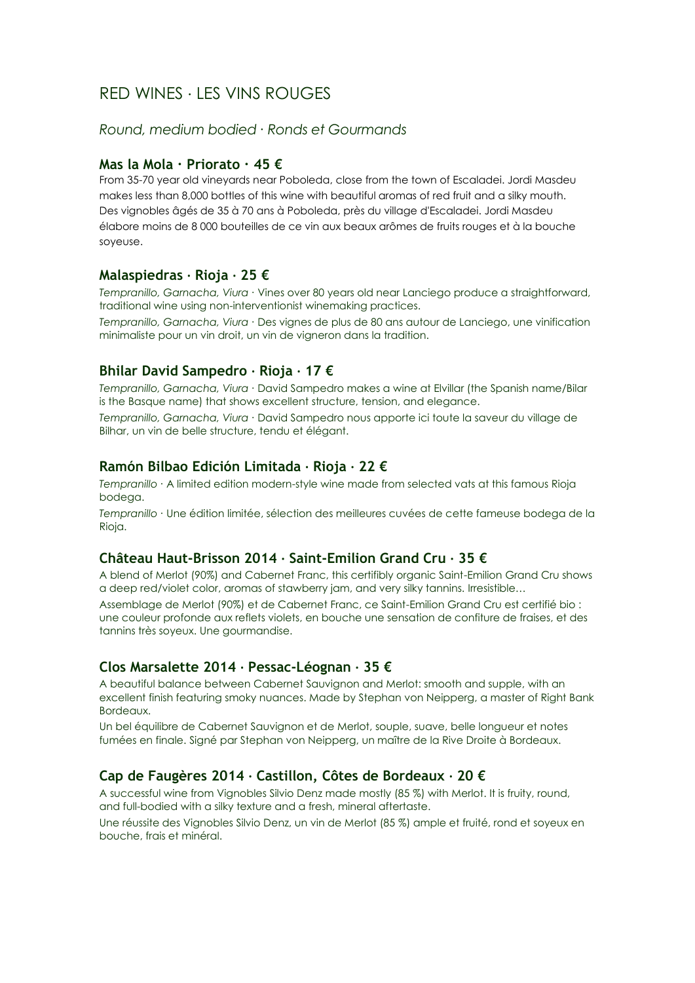#### *Round, medium bodied ∙ Ronds et Gourmands*

#### **Mas la Mola ∙ Priorato ∙ 45 €**

From 35-70 year old vineyards near Poboleda, close from the town of Escaladei. Jordi Masdeu makes less than 8,000 bottles of this wine with beautiful aromas of red fruit and a silky mouth. Des vignobles âgés de 35 à 70 ans à Poboleda, près du village d'Escaladei. Jordi Masdeu élabore moins de 8 000 bouteilles de ce vin aux beaux arômes de fruits rouges et à la bouche soyeuse.

#### **Malaspiedras ∙ Rioja ∙ 25 €**

*Tempranillo, Garnacha, Viura ∙* Vines over 80 years old near Lanciego produce a straightforward, traditional wine using non-interventionist winemaking practices.

*Tempranillo, Garnacha, Viura ∙* Des vignes de plus de 80 ans autour de Lanciego, une vinification minimaliste pour un vin droit, un vin de vigneron dans la tradition.

## **Bhilar David Sampedro ∙ Rioja ∙ 17 €**

*Tempranillo, Garnacha, Viura ∙* David Sampedro makes a wine at Elvillar (the Spanish name/Bilar is the Basque name) that shows excellent structure, tension, and elegance.

*Tempranillo, Garnacha, Viura ∙* David Sampedro nous apporte ici toute la saveur du village de Bilhar, un vin de belle structure, tendu et élégant.

#### **Ramón Bilbao Edición Limitada ∙ Rioja ∙ 22 €**

*Tempranillo ∙* A limited edition modern-style wine made from selected vats at this famous Rioja bodega.

*Tempranillo ∙* Une édition limitée, sélection des meilleures cuvées de cette fameuse bodega de la Rioja.

#### **Château Haut-Brisson 2014 ∙ Saint-Emilion Grand Cru ∙ 35 €**

A blend of Merlot (90%) and Cabernet Franc, this certifibly organic Saint-Emilion Grand Cru shows a deep red/violet color, aromas of stawberry jam, and very silky tannins. Irresistible…

Assemblage de Merlot (90%) et de Cabernet Franc, ce Saint-Emilion Grand Cru est certifié bio : une couleur profonde aux reflets violets, en bouche une sensation de confiture de fraises, et des tannins très soyeux. Une gourmandise.

#### **Clos Marsalette 2014 ∙ Pessac-Léognan ∙ 35 €**

A beautiful balance between Cabernet Sauvignon and Merlot: smooth and supple, with an excellent finish featuring smoky nuances. Made by Stephan von Neipperg, a master of Right Bank Bordeaux.

Un bel équilibre de Cabernet Sauvignon et de Merlot, souple, suave, belle longueur et notes fumées en finale. Signé par Stephan von Neipperg, un maître de la Rive Droite à Bordeaux.

#### **Cap de Faugères 2014 ∙ Castillon, Côtes de Bordeaux ∙ 20 €**

A successful wine from Vignobles Silvio Denz made mostly (85 %) with Merlot. It is fruity, round, and full-bodied with a silky texture and a fresh, mineral aftertaste.

Une réussite des Vignobles Silvio Denz, un vin de Merlot (85 %) ample et fruité, rond et soyeux en bouche, frais et minéral.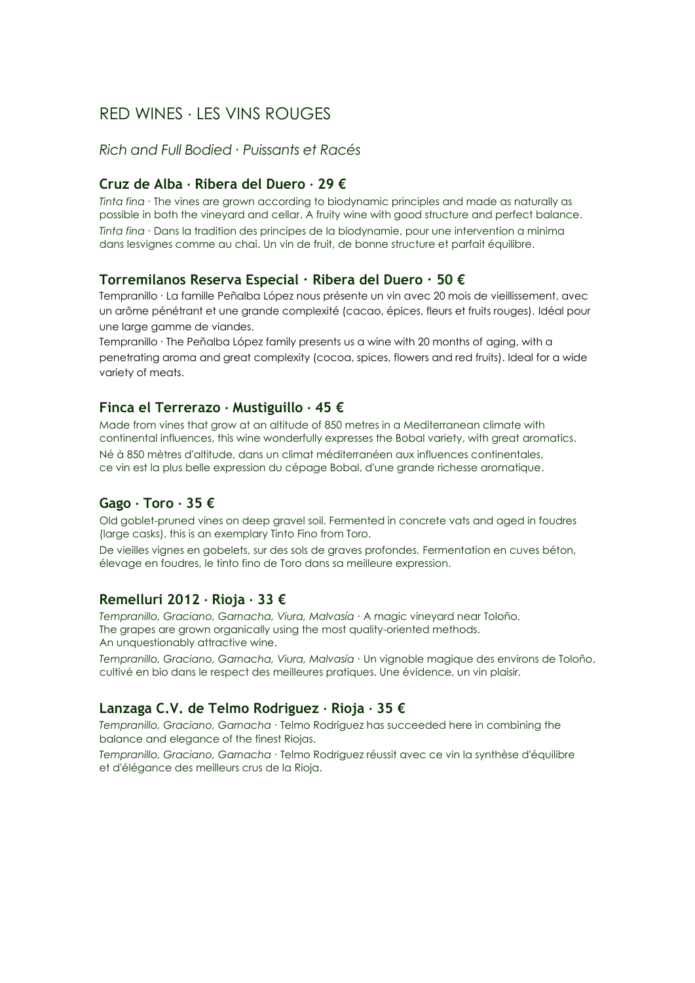### *Rich and Full Bodied ∙ Puissants et Racés*

## **Cruz de Alba ∙ Ribera del Duero ∙ 29 €**

*Tinta fina ∙* The vines are grown according to biodynamic principles and made as naturally as possible in both the vineyard and cellar. A fruity wine with good structure and perfect balance. *Tinta fina ∙* Dans la tradition des principes de la biodynamie, pour une intervention a minima dans lesvignes comme au chai. Un vin de fruit, de bonne structure et parfait équilibre.

#### **Torremilanos Reserva Especial ∙ Ribera del Duero ∙ 50 €**

Tempranillo ∙ La famille Peñalba López nous présente un vin avec 20 mois de vieillissement, avec un arôme pénétrant et une grande complexité (cacao, épices, fleurs et fruits rouges). Idéal pour une large gamme de viandes.

Tempranillo ∙ The Peñalba López family presents us a wine with 20 months of aging, with a penetrating aroma and great complexity (cocoa, spices, flowers and red fruits). Ideal for a wide variety of meats.

#### **Finca el Terrerazo ∙ Mustiguillo ∙ 45 €**

Made from vines that grow at an altitude of 850 metres in a Mediterranean climate with continental influences, this wine wonderfully expresses the Bobal variety, with great aromatics. Né à 850 mètres d'altitude, dans un climat méditerranéen aux influences continentales, ce vin est la plus belle expression du cépage Bobal, d'une grande richesse aromatique.

## **Gago ∙ Toro ∙ 35 €**

Old goblet-pruned vines on deep gravel soil. Fermented in concrete vats and aged in foudres (large casks), this is an exemplary Tinto Fino from Toro.

De vieilles vignes en gobelets, sur des sols de graves profondes. Fermentation en cuves béton, élevage en foudres, le tinto fino de Toro dans sa meilleure expression.

#### **Remelluri 2012 ∙ Rioja ∙ 33 €**

*Tempranillo, Graciano, Garnacha, Viura, Malvasía ∙* A magic vineyard near Toloño. The grapes are grown organically using the most quality-oriented methods. An unquestionably attractive wine.

*Tempranillo, Graciano, Garnacha, Viura, Malvasía ∙* Un vignoble magique des environs de Toloño, cultivé en bio dans le respect des meilleures pratiques. Une évidence, un vin plaisir.

#### **Lanzaga C.V. de Telmo Rodriguez ∙ Rioja ∙ 35 €**

*Tempranillo, Graciano, Garnacha ∙* Telmo Rodriguez has succeeded here in combining the balance and elegance of the finest Riojas.

*Tempranillo, Graciano, Garnacha ∙* Telmo Rodriguez réussit avec ce vin la synthèse d'équilibre et d'élégance des meilleurs crus de la Rioja.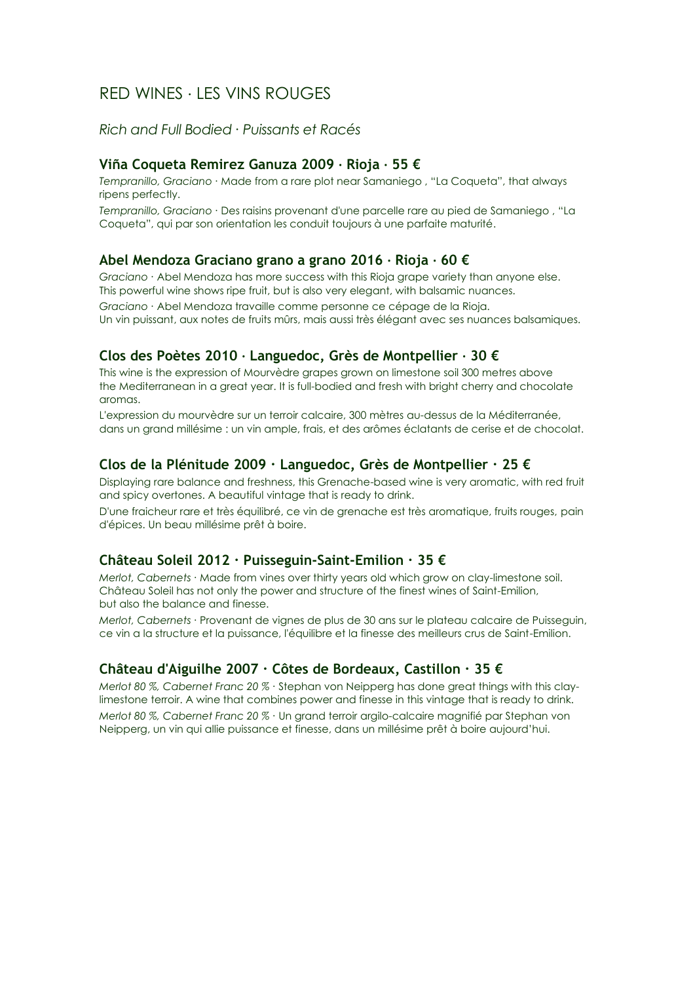*Rich and Full Bodied ∙ Puissants et Racés*

#### **Viña Coqueta Remirez Ganuza 2009 ∙ Rioja ∙ 55 €**

*Tempranillo, Graciano ∙* Made from a rare plot near Samaniego , "La Coqueta", that always ripens perfectly.

*Tempranillo, Graciano ∙* Des raisins provenant d'une parcelle rare au pied de Samaniego , "La Coqueta", qui par son orientation les conduit toujours à une parfaite maturité.

#### **Abel Mendoza Graciano grano a grano 2016 ∙ Rioja ∙ 60 €**

*Graciano ∙* Abel Mendoza has more success with this Rioja grape variety than anyone else. This powerful wine shows ripe fruit, but is also very elegant, with balsamic nuances.

*Graciano ∙* Abel Mendoza travaille comme personne ce cépage de la Rioja. Un vin puissant, aux notes de fruits mûrs, mais aussi très élégant avec ses nuances balsamiques.

## **Clos des Poètes 2010 ∙ Languedoc, Grès de Montpellier ∙ 30 €**

This wine is the expression of Mourvèdre grapes grown on limestone soil 300 metres above the Mediterranean in a great year. It is full-bodied and fresh with bright cherry and chocolate aromas.

L'expression du mourvèdre sur un terroir calcaire, 300 mètres au-dessus de la Méditerranée, dans un grand millésime : un vin ample, frais, et des arômes éclatants de cerise et de chocolat.

#### **Clos de la Plénitude 2009 ∙ Languedoc, Grès de Montpellier ∙ 25 €**

Displaying rare balance and freshness, this Grenache-based wine is very aromatic, with red fruit and spicy overtones. A beautiful vintage that is ready to drink.

D'une fraicheur rare et très équilibré, ce vin de grenache est très aromatique, fruits rouges, pain d'épices. Un beau millésime prêt à boire.

#### **Château Soleil 2012 ∙ Puisseguin-Saint-Emilion ∙ 35 €**

*Merlot, Cabernets ∙* Made from vines over thirty years old which grow on clay-limestone soil. Château Soleil has not only the power and structure of the finest wines of Saint-Emilion, but also the balance and finesse.

*Merlot, Cabernets ∙* Provenant de vignes de plus de 30 ans sur le plateau calcaire de Puisseguin, ce vin a la structure et la puissance, l'équilibre et la finesse des meilleurs crus de Saint-Emilion.

## **Château d'Aiguilhe 2007 ∙ Côtes de Bordeaux, Castillon ∙ 35 €**

*Merlot 80 %, Cabernet Franc 20 % ∙* Stephan von Neipperg has done great things with this claylimestone terroir. A wine that combines power and finesse in this vintage that is ready to drink. *Merlot 80 %, Cabernet Franc 20 % ∙* Un grand terroir argilo-calcaire magnifié par Stephan von Neipperg, un vin qui allie puissance et finesse, dans un millésime prêt à boire aujourd'hui.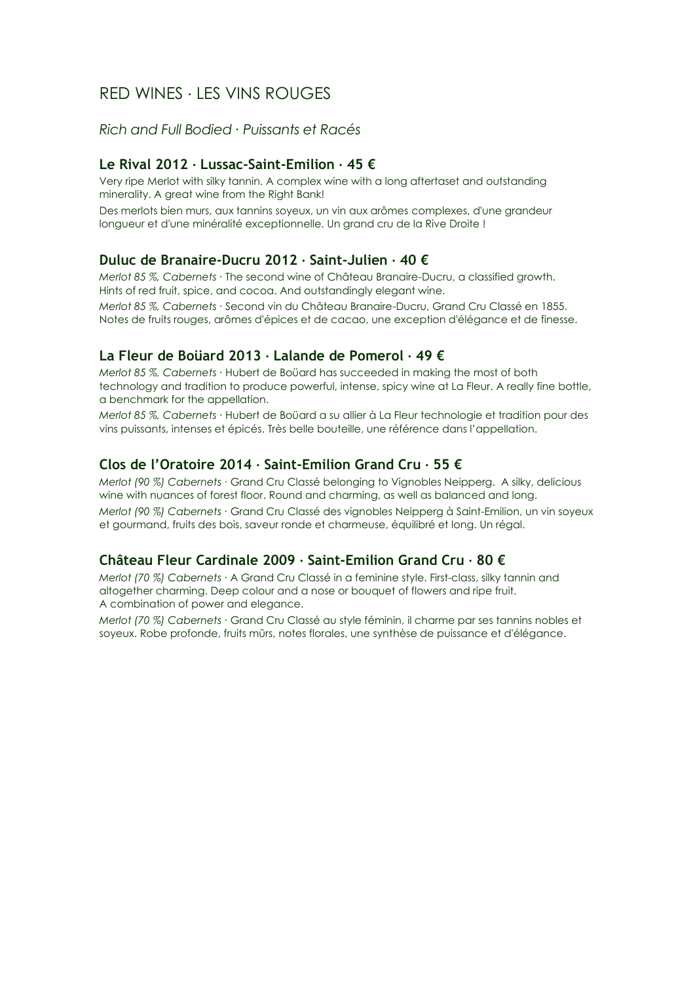## *Rich and Full Bodied ∙ Puissants et Racés*

## **Le Rival 2012 ∙ Lussac-Saint-Emilion ∙ 45 €**

Very ripe Merlot with silky tannin. A complex wine with a long aftertaset and outstanding minerality. A great wine from the Right Bank!

Des merlots bien murs, aux tannins soyeux, un vin aux arômes complexes, d'une grandeur longueur et d'une minéralité exceptionnelle. Un grand cru de la Rive Droite !

#### **Duluc de Branaire-Ducru 2012 ∙ Saint-Julien ∙ 40 €**

*Merlot 85 %, Cabernets ∙* The second wine of Château Branaire-Ducru, a classified growth. Hints of red fruit, spice, and cocoa. And outstandingly elegant wine.

*Merlot 85 %, Cabernets ∙* Second vin du Château Branaire-Ducru, Grand Cru Classé en 1855. Notes de fruits rouges, arômes d'épices et de cacao, une exception d'élégance et de finesse.

## **La Fleur de Boüard 2013 ∙ Lalande de Pomerol ∙ 49 €**

*Merlot 85 %, Cabernets ∙* Hubert de Boüard has succeeded in making the most of both technology and tradition to produce powerful, intense, spicy wine at La Fleur. A really fine bottle, a benchmark for the appellation.

*Merlot 85 %, Cabernets ∙* Hubert de Boüard a su allier à La Fleur technologie et tradition pour des vins puissants, intenses et épicés. Très belle bouteille, une référence dans l'appellation.

## **Clos de l'Oratoire 2014 ∙ Saint-Emilion Grand Cru ∙ 55 €**

*Merlot (90 %) Cabernets ∙* Grand Cru Classé belonging to Vignobles Neipperg. A silky, delicious wine with nuances of forest floor. Round and charming, as well as balanced and long. *Merlot (90 %) Cabernets ∙* Grand Cru Classé des vignobles Neipperg à Saint-Emilion, un vin soyeux

et gourmand, fruits des bois, saveur ronde et charmeuse, équilibré et long. Un régal.

#### **Château Fleur Cardinale 2009 ∙ Saint-Emilion Grand Cru ∙ 80 €**

*Merlot (70 %) Cabernets ∙* A Grand Cru Classé in a feminine style. First-class, silky tannin and altogether charming. Deep colour and a nose or bouquet of flowers and ripe fruit. A combination of power and elegance.

*Merlot (70 %) Cabernets ∙* Grand Cru Classé au style féminin, il charme par ses tannins nobles et soyeux. Robe profonde, fruits mûrs, notes florales, une synthèse de puissance et d'élégance.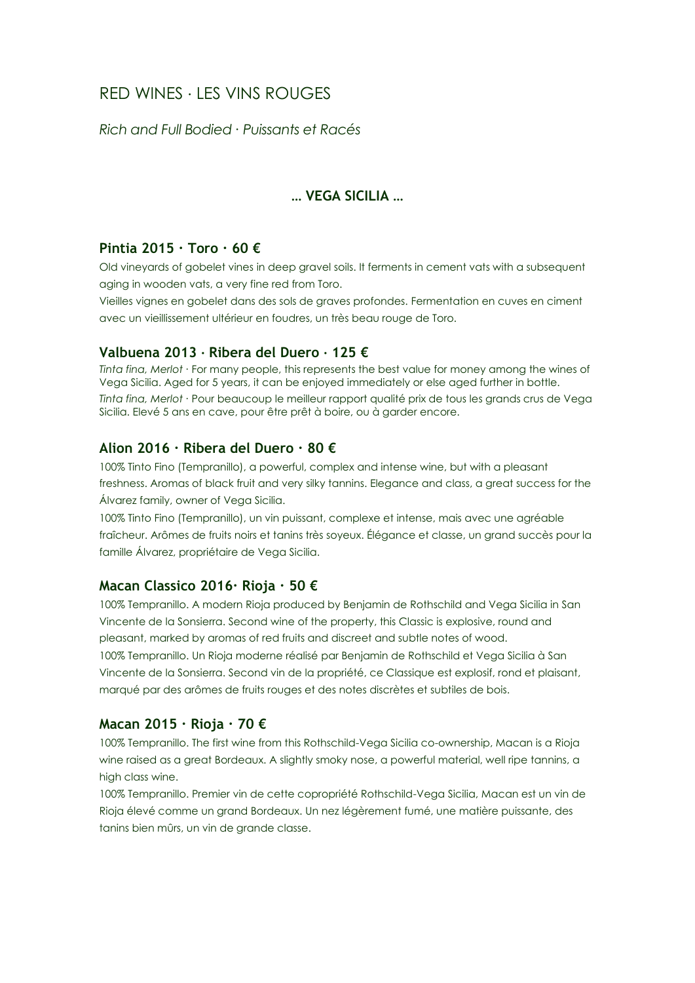*Rich and Full Bodied ∙ Puissants et Racés*

## **… VEGA SICILIA …**

## **Pintia 2015 ∙ Toro ∙ 60 €**

Old vineyards of gobelet vines in deep gravel soils. It ferments in cement vats with a subsequent aging in wooden vats, a very fine red from Toro.

Vieilles vignes en gobelet dans des sols de graves profondes. Fermentation en cuves en ciment avec un vieillissement ultérieur en foudres, un très beau rouge de Toro.

#### **Valbuena 2013 ∙ Ribera del Duero ∙ 125 €**

*Tinta fina, Merlot ∙* For many people, this represents the best value for money among the wines of Vega Sicilia. Aged for 5 years, it can be enjoyed immediately or else aged further in bottle. *Tinta fina, Merlot ∙* Pour beaucoup le meilleur rapport qualité prix de tous les grands crus de Vega Sicilia. Elevé 5 ans en cave, pour être prêt à boire, ou à garder encore.

#### **Alion 2016 ∙ Ribera del Duero ∙ 80 €**

100% Tinto Fino (Tempranillo), a powerful, complex and intense wine, but with a pleasant freshness. Aromas of black fruit and very silky tannins. Elegance and class, a great success for the Álvarez family, owner of Vega Sicilia.

100% Tinto Fino (Tempranillo), un vin puissant, complexe et intense, mais avec une agréable fraîcheur. Arômes de fruits noirs et tanins très soyeux. Élégance et classe, un grand succès pour la famille Álvarez, propriétaire de Vega Sicilia.

## **Macan Classico 2016∙ Rioja ∙ 50 €**

100% Tempranillo. A modern Rioja produced by Benjamin de Rothschild and Vega Sicilia in San Vincente de la Sonsierra. Second wine of the property, this Classic is explosive, round and pleasant, marked by aromas of red fruits and discreet and subtle notes of wood. 100% Tempranillo. Un Rioja moderne réalisé par Benjamin de Rothschild et Vega Sicilia à San

Vincente de la Sonsierra. Second vin de la propriété, ce Classique est explosif, rond et plaisant, marqué par des arômes de fruits rouges et des notes discrètes et subtiles de bois.

## **Macan 2015 ∙ Rioja ∙ 70 €**

100% Tempranillo. The first wine from this Rothschild-Vega Sicilia co-ownership, Macan is a Rioja wine raised as a great Bordeaux. A slightly smoky nose, a powerful material, well ripe tannins, a high class wine.

100% Tempranillo. Premier vin de cette copropriété Rothschild-Vega Sicilia, Macan est un vin de Rioja élevé comme un grand Bordeaux. Un nez légèrement fumé, une matière puissante, des tanins bien mûrs, un vin de grande classe.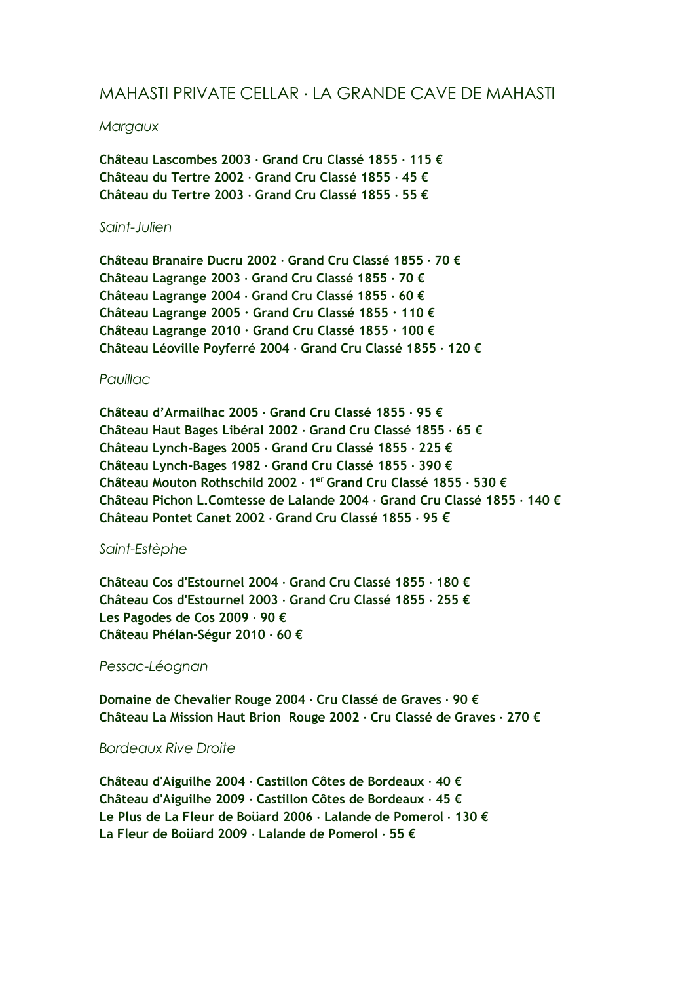## MAHASTI PRIVATE CELLAR ∙ LA GRANDE CAVE DE MAHASTI

#### *Margaux*

**Château Lascombes 2003 ∙ Grand Cru Classé 1855 ∙ 115 € Château du Tertre 2002 ∙ Grand Cru Classé 1855 ∙ 45 € Château du Tertre 2003 ∙ Grand Cru Classé 1855 ∙ 55 €**

#### *Saint-Julien*

**Château Branaire Ducru 2002 ∙ Grand Cru Classé 1855 ∙ 70 € Château Lagrange 2003 ∙ Grand Cru Classé 1855 ∙ 70 € Château Lagrange 2004 ∙ Grand Cru Classé 1855 ∙ 60 € Château Lagrange 2005 ∙ Grand Cru Classé 1855 ∙ 110 € Château Lagrange 2010 ∙ Grand Cru Classé 1855 ∙ 100 € Château Léoville Poyferré 2004 ∙ Grand Cru Classé 1855 ∙ 120 €**

## *Pauillac*

**Château d'Armailhac 2005 ∙ Grand Cru Classé 1855 ∙ 95 € Château Haut Bages Libéral 2002 ∙ Grand Cru Classé 1855 ∙ 65 € Château Lynch-Bages 2005 ∙ Grand Cru Classé 1855 ∙ 225 € Château Lynch-Bages 1982 ∙ Grand Cru Classé 1855 ∙ 390 € Château Mouton Rothschild 2002 ∙ 1 er Grand Cru Classé 1855 ∙ 530 € Château Pichon L.Comtesse de Lalande 2004 ∙ Grand Cru Classé 1855 ∙ 140 € Château Pontet Canet 2002 ∙ Grand Cru Classé 1855 ∙ 95 €**

## *Saint-Estèphe*

**Château Cos d'Estournel 2004 ∙ Grand Cru Classé 1855 ∙ 180 € Château Cos d'Estournel 2003 ∙ Grand Cru Classé 1855 ∙ 255 € Les Pagodes de Cos 2009 ∙ 90 € Château Phélan-Ségur 2010 ∙ 60 €**

#### *Pessac-Léognan*

**Domaine de Chevalier Rouge 2004 ∙ Cru Classé de Graves ∙ 90 € Château La Mission Haut Brion Rouge 2002 ∙ Cru Classé de Graves ∙ 270 €**

#### *Bordeaux Rive Droite*

**Château d'Aiguilhe 2004 ∙ Castillon Côtes de Bordeaux ∙ 40 € Château d'Aiguilhe 2009 ∙ Castillon Côtes de Bordeaux ∙ 45 € Le Plus de La Fleur de Boüard 2006 ∙ Lalande de Pomerol ∙ 130 € La Fleur de Boüard 2009 ∙ Lalande de Pomerol ∙ 55 €**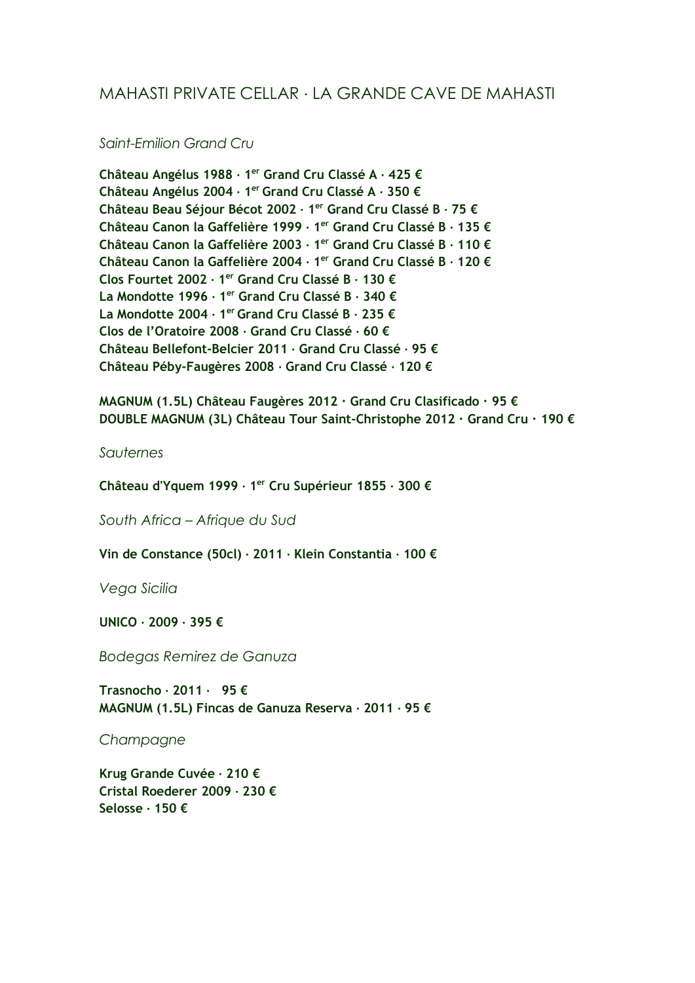## MAHASTI PRIVATE CELLAR ∙ LA GRANDE CAVE DE MAHASTI

## *Saint-Emilion Grand Cru*

**Château Angélus 1988 ∙ 1 er Grand Cru Classé A ∙ 425 € Château Angélus 2004 ∙ 1 er Grand Cru Classé A ∙ 350 € Château Beau Séjour Bécot 2002 ∙ 1 er Grand Cru Classé B ∙ 75 € Château Canon la Gaffelière 1999 ∙ 1 er Grand Cru Classé B ∙ 135 € Château Canon la Gaffelière 2003 ∙ 1 er Grand Cru Classé B ∙ 110 € Château Canon la Gaffelière 2004 ∙ 1 er Grand Cru Classé B ∙ 120 € Clos Fourtet 2002 ∙ 1 er Grand Cru Classé B ∙ 130 € La Mondotte 1996 ∙ 1 er Grand Cru Classé B ∙ 340 € La Mondotte 2004 ∙ 1 er Grand Cru Classé B ∙ 235 € Clos de l'Oratoire 2008 ∙ Grand Cru Classé ∙ 60 € Château Bellefont-Belcier 2011 ∙ Grand Cru Classé ∙ 95 € Château Péby-Faugères 2008 ∙ Grand Cru Classé ∙ 120 €**

**MAGNUM (1.5L) Château Faugères 2012 ∙ Grand Cru Clasificado ∙ 95 € DOUBLE MAGNUM (3L) Château Tour Saint-Christophe 2012 ∙ Grand Cru ∙ 190 €**

*Sauternes*

**Château d'Yquem 1999 ∙ 1 er Cru Supérieur 1855 ∙ 300 €**

*South Africa – Afrique du Sud*

**Vin de Constance (50cl) ∙ 2011 ∙ Klein Constantia ∙ 100 €**

*Vega Sicilia*

**UNICO ∙ 2009 ∙ 395 €**

*Bodegas Remirez de Ganuza*

**Trasnocho ∙ 2011 ∙ 95 € MAGNUM (1.5L) Fincas de Ganuza Reserva ∙ 2011 ∙ 95 €**

*Champagne*

**Krug Grande Cuvée ∙ 210 € Cristal Roederer 2009 ∙ 230 € Selosse ∙ 150 €**